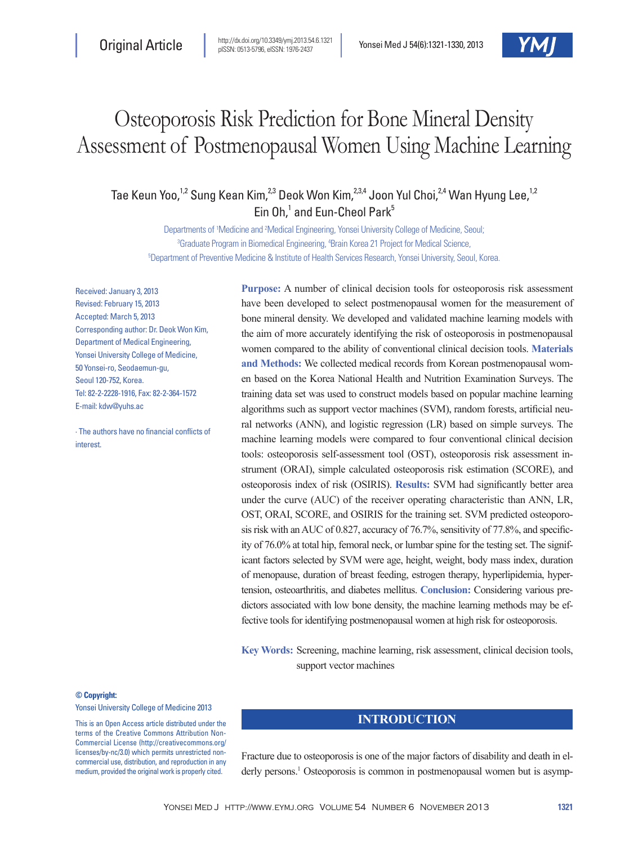# Osteoporosis Risk Prediction for Bone Mineral Density Assessment of Postmenopausal Women Using Machine Learning

Tae Keun Yoo,<sup>1,2</sup> Sung Kean Kim,<sup>2,3</sup> Deok Won Kim,<sup>2,3,4</sup> Joon Yul Choi,<sup>2,4</sup> Wan Hyung Lee,<sup>1,2</sup> Ein Oh,<sup>1</sup> and Eun-Cheol Park<sup>5</sup>

Departments of <sup>1</sup>Medicine and <sup>2</sup>Medical Engineering, Yonsei University College of Medicine, Seoul; <sup>3</sup>Graduate Program in Biomedical Engineering, <sup>4</sup>Brain Korea 21 Project for Medical Science, 5 Department of Preventive Medicine & Institute of Health Services Research, Yonsei University, Seoul, Korea.

Received: January 3, 2013 Revised: February 15, 2013 Accepted: March 5, 2013 Corresponding author: Dr. Deok Won Kim, Department of Medical Engineering, Yonsei University College of Medicine, 50 Yonsei-ro, Seodaemun-gu, Seoul 120-752, Korea. Tel: 82-2-2228-1916, Fax: 82-2-364-1572 E-mail: kdw@yuhs.ac

∙ The authors have no financial conflicts of interest.

**Purpose:** A number of clinical decision tools for osteoporosis risk assessment have been developed to select postmenopausal women for the measurement of bone mineral density. We developed and validated machine learning models with the aim of more accurately identifying the risk of osteoporosis in postmenopausal women compared to the ability of conventional clinical decision tools. **Materials and Methods:** We collected medical records from Korean postmenopausal women based on the Korea National Health and Nutrition Examination Surveys. The training data set was used to construct models based on popular machine learning algorithms such as support vector machines (SVM), random forests, artificial neural networks (ANN), and logistic regression (LR) based on simple surveys. The machine learning models were compared to four conventional clinical decision tools: osteoporosis self-assessment tool (OST), osteoporosis risk assessment instrument (ORAI), simple calculated osteoporosis risk estimation (SCORE), and osteoporosis index of risk (OSIRIS). **Results:** SVM had significantly better area under the curve (AUC) of the receiver operating characteristic than ANN, LR, OST, ORAI, SCORE, and OSIRIS for the training set. SVM predicted osteoporosis risk with an AUC of 0.827, accuracy of 76.7%, sensitivity of 77.8%, and specificity of 76.0% at total hip, femoral neck, or lumbar spine for the testing set. The significant factors selected by SVM were age, height, weight, body mass index, duration of menopause, duration of breast feeding, estrogen therapy, hyperlipidemia, hypertension, osteoarthritis, and diabetes mellitus. **Conclusion:** Considering various predictors associated with low bone density, the machine learning methods may be effective tools for identifying postmenopausal women at high risk for osteoporosis.

**Key Words:** Screening, machine learning, risk assessment, clinical decision tools, support vector machines

#### **© Copyright:**

Yonsei University College of Medicine 2013

This is an Open Access article distributed under the terms of the Creative Commons Attribution Non-Commercial License (http://creativecommons.org/ licenses/by-nc/3.0) which permits unrestricted noncommercial use, distribution, and reproduction in any medium, provided the original work is properly cited.

## **INTRODUCTION**

Fracture due to osteoporosis is one of the major factors of disability and death in elderly persons.<sup>1</sup> Osteoporosis is common in postmenopausal women but is asymp-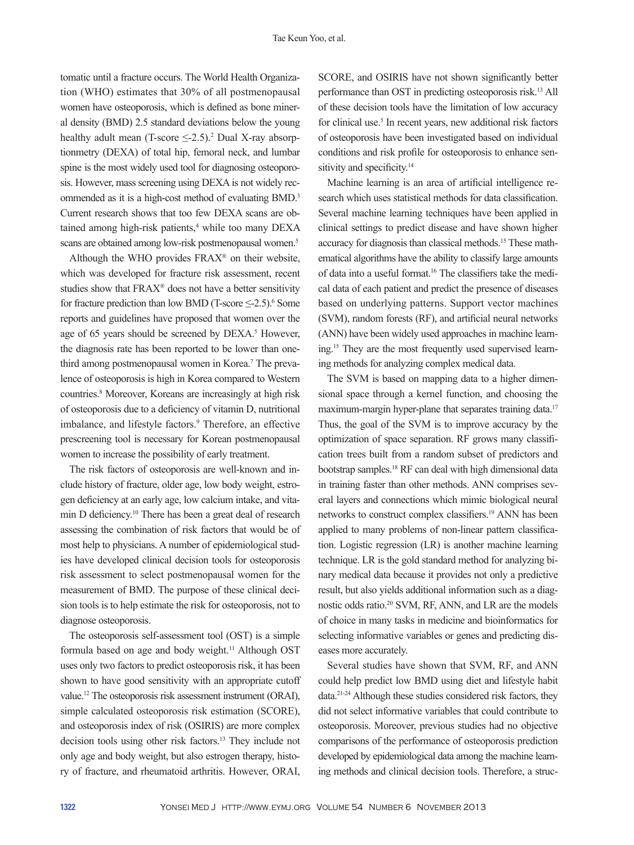tomatic until a fracture occurs. The World Health Organization (WHO) estimates that 30% of all postmenopausal women have osteoporosis, which is defined as bone mineral density (BMD) 2.5 standard deviations below the young healthy adult mean  $(T\text{-score} \leq -2.5)^2$  Dual X-ray absorptionmetry (DEXA) of total hip, femoral neck, and lumbar spine is the most widely used tool for diagnosing osteoporosis. However, mass screening using DEXA is not widely recommended as it is a high-cost method of evaluating BMD.3 Current research shows that too few DEXA scans are obtained among high-risk patients,<sup>4</sup> while too many DEXA scans are obtained among low-risk postmenopausal women.<sup>5</sup>

Although the WHO provides FRAX® on their website, which was developed for fracture risk assessment, recent studies show that FRAX® does not have a better sensitivity for fracture prediction than low BMD (T-score  $\leq$  2.5).<sup>6</sup> Some reports and guidelines have proposed that women over the age of 65 years should be screened by DEXA.<sup>5</sup> However, the diagnosis rate has been reported to be lower than onethird among postmenopausal women in Korea.<sup>7</sup> The prevalence of osteoporosis is high in Korea compared to Western countries.8 Moreover, Koreans are increasingly at high risk of osteoporosis due to a deficiency of vitamin D, nutritional imbalance, and lifestyle factors.<sup>9</sup> Therefore, an effective prescreening tool is necessary for Korean postmenopausal women to increase the possibility of early treatment.

The risk factors of osteoporosis are well-known and include history of fracture, older age, low body weight, estrogen deficiency at an early age, low calcium intake, and vitamin D deficiency.10 There has been a great deal of research assessing the combination of risk factors that would be of most help to physicians. A number of epidemiological studies have developed clinical decision tools for osteoporosis risk assessment to select postmenopausal women for the measurement of BMD. The purpose of these clinical decision tools is to help estimate the risk for osteoporosis, not to diagnose osteoporosis.

The osteoporosis self-assessment tool (OST) is a simple formula based on age and body weight.11 Although OST uses only two factors to predict osteoporosis risk, it has been shown to have good sensitivity with an appropriate cutoff value.12 The osteoporosis risk assessment instrument (ORAI), simple calculated osteoporosis risk estimation (SCORE), and osteoporosis index of risk (OSIRIS) are more complex decision tools using other risk factors.13 They include not only age and body weight, but also estrogen therapy, history of fracture, and rheumatoid arthritis. However, ORAI,

SCORE, and OSIRIS have not shown significantly better performance than OST in predicting osteoporosis risk.13 All of these decision tools have the limitation of low accuracy for clinical use.<sup>5</sup> In recent years, new additional risk factors of osteoporosis have been investigated based on individual conditions and risk profile for osteoporosis to enhance sensitivity and specificity.<sup>14</sup>

Machine learning is an area of artificial intelligence research which uses statistical methods for data classification. Several machine learning techniques have been applied in clinical settings to predict disease and have shown higher accuracy for diagnosis than classical methods.15 These mathematical algorithms have the ability to classify large amounts of data into a useful format.16 The classifiers take the medical data of each patient and predict the presence of diseases based on underlying patterns. Support vector machines (SVM), random forests (RF), and artificial neural networks (ANN) have been widely used approaches in machine learning.15 They are the most frequently used supervised learning methods for analyzing complex medical data.

The SVM is based on mapping data to a higher dimensional space through a kernel function, and choosing the maximum-margin hyper-plane that separates training data.<sup>17</sup> Thus, the goal of the SVM is to improve accuracy by the optimization of space separation. RF grows many classification trees built from a random subset of predictors and bootstrap samples.18 RF can deal with high dimensional data in training faster than other methods. ANN comprises several layers and connections which mimic biological neural networks to construct complex classifiers.19 ANN has been applied to many problems of non-linear pattern classification. Logistic regression (LR) is another machine learning technique. LR is the gold standard method for analyzing binary medical data because it provides not only a predictive result, but also yields additional information such as a diagnostic odds ratio.20 SVM, RF, ANN, and LR are the models of choice in many tasks in medicine and bioinformatics for selecting informative variables or genes and predicting diseases more accurately.

Several studies have shown that SVM, RF, and ANN could help predict low BMD using diet and lifestyle habit data.21-24 Although these studies considered risk factors, they did not select informative variables that could contribute to osteoporosis. Moreover, previous studies had no objective comparisons of the performance of osteoporosis prediction developed by epidemiological data among the machine learning methods and clinical decision tools. Therefore, a struc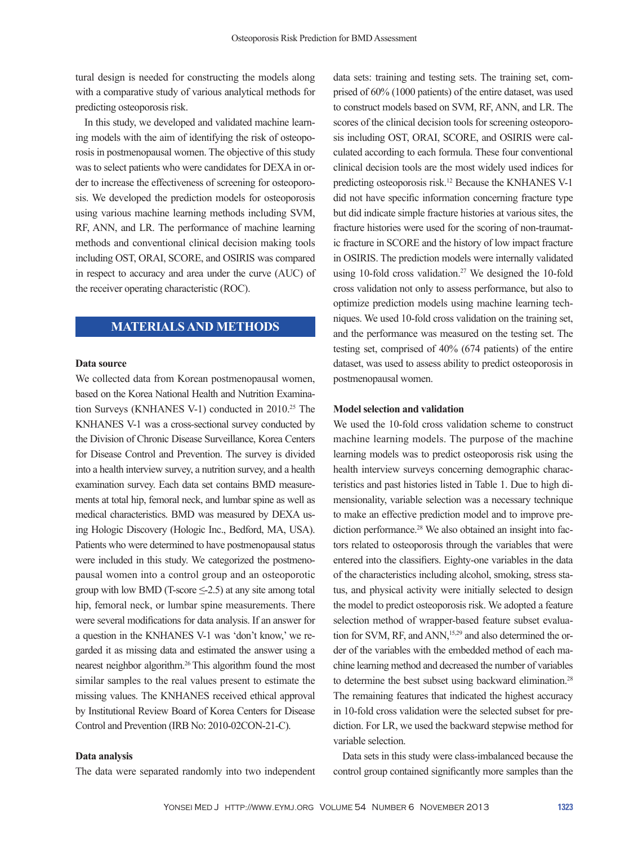tural design is needed for constructing the models along with a comparative study of various analytical methods for predicting osteoporosis risk.

In this study, we developed and validated machine learning models with the aim of identifying the risk of osteoporosis in postmenopausal women. The objective of this study was to select patients who were candidates for DEXA in order to increase the effectiveness of screening for osteoporosis. We developed the prediction models for osteoporosis using various machine learning methods including SVM, RF, ANN, and LR. The performance of machine learning methods and conventional clinical decision making tools including OST, ORAI, SCORE, and OSIRIS was compared in respect to accuracy and area under the curve (AUC) of the receiver operating characteristic (ROC).

## **MATERIALS AND METHODS**

#### **Data source**

We collected data from Korean postmenopausal women, based on the Korea National Health and Nutrition Examination Surveys (KNHANES V-1) conducted in 2010.25 The KNHANES V-1 was a cross-sectional survey conducted by the Division of Chronic Disease Surveillance, Korea Centers for Disease Control and Prevention. The survey is divided into a health interview survey, a nutrition survey, and a health examination survey. Each data set contains BMD measurements at total hip, femoral neck, and lumbar spine as well as medical characteristics. BMD was measured by DEXA using Hologic Discovery (Hologic Inc., Bedford, MA, USA). Patients who were determined to have postmenopausal status were included in this study. We categorized the postmenopausal women into a control group and an osteoporotic group with low BMD (T-score  $\leq$  2.5) at any site among total hip, femoral neck, or lumbar spine measurements. There were several modifications for data analysis. If an answer for a question in the KNHANES V-1 was 'don't know,' we regarded it as missing data and estimated the answer using a nearest neighbor algorithm.26 This algorithm found the most similar samples to the real values present to estimate the missing values. The KNHANES received ethical approval by Institutional Review Board of Korea Centers for Disease Control and Prevention (IRB No: 2010-02CON-21-C).

#### **Data analysis**

The data were separated randomly into two independent

data sets: training and testing sets. The training set, comprised of 60% (1000 patients) of the entire dataset, was used to construct models based on SVM, RF, ANN, and LR. The scores of the clinical decision tools for screening osteoporosis including OST, ORAI, SCORE, and OSIRIS were calculated according to each formula. These four conventional clinical decision tools are the most widely used indices for predicting osteoporosis risk.12 Because the KNHANES V-1 did not have specific information concerning fracture type but did indicate simple fracture histories at various sites, the fracture histories were used for the scoring of non-traumatic fracture in SCORE and the history of low impact fracture in OSIRIS. The prediction models were internally validated using 10-fold cross validation.<sup>27</sup> We designed the 10-fold cross validation not only to assess performance, but also to optimize prediction models using machine learning techniques. We used 10-fold cross validation on the training set, and the performance was measured on the testing set. The testing set, comprised of 40% (674 patients) of the entire dataset, was used to assess ability to predict osteoporosis in postmenopausal women.

#### **Model selection and validation**

We used the 10-fold cross validation scheme to construct machine learning models. The purpose of the machine learning models was to predict osteoporosis risk using the health interview surveys concerning demographic characteristics and past histories listed in Table 1. Due to high dimensionality, variable selection was a necessary technique to make an effective prediction model and to improve prediction performance.<sup>28</sup> We also obtained an insight into factors related to osteoporosis through the variables that were entered into the classifiers. Eighty-one variables in the data of the characteristics including alcohol, smoking, stress status, and physical activity were initially selected to design the model to predict osteoporosis risk. We adopted a feature selection method of wrapper-based feature subset evaluation for SVM, RF, and ANN,<sup>15,29</sup> and also determined the order of the variables with the embedded method of each machine learning method and decreased the number of variables to determine the best subset using backward elimination.<sup>28</sup> The remaining features that indicated the highest accuracy in 10-fold cross validation were the selected subset for prediction. For LR, we used the backward stepwise method for variable selection.

Data sets in this study were class-imbalanced because the control group contained significantly more samples than the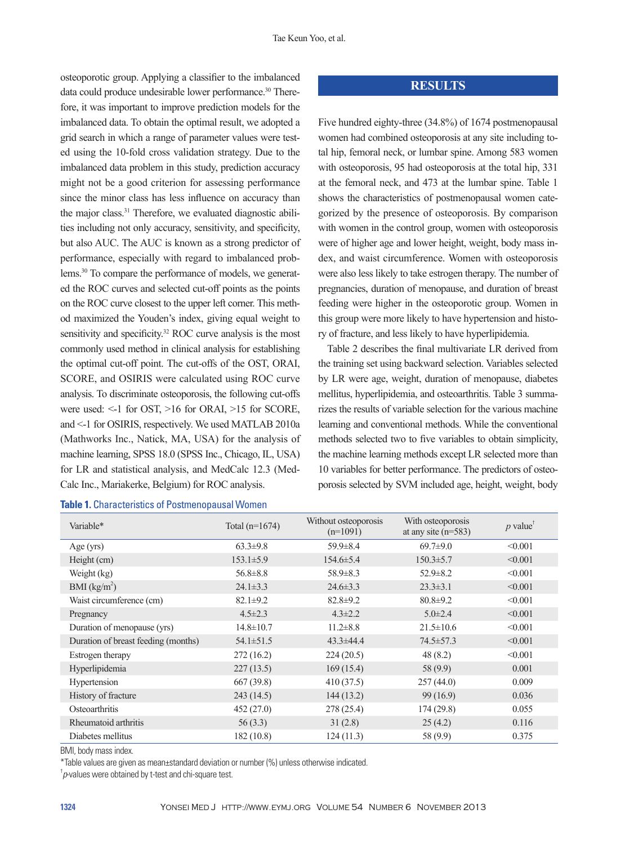osteoporotic group. Applying a classifier to the imbalanced data could produce undesirable lower performance.<sup>30</sup> Therefore, it was important to improve prediction models for the imbalanced data. To obtain the optimal result, we adopted a grid search in which a range of parameter values were tested using the 10-fold cross validation strategy. Due to the imbalanced data problem in this study, prediction accuracy might not be a good criterion for assessing performance since the minor class has less influence on accuracy than the major class.31 Therefore, we evaluated diagnostic abilities including not only accuracy, sensitivity, and specificity, but also AUC. The AUC is known as a strong predictor of performance, especially with regard to imbalanced problems.30 To compare the performance of models, we generated the ROC curves and selected cut-off points as the points on the ROC curve closest to the upper left corner. This method maximized the Youden's index, giving equal weight to sensitivity and specificity.<sup>32</sup> ROC curve analysis is the most commonly used method in clinical analysis for establishing the optimal cut-off point. The cut-offs of the OST, ORAI, SCORE, and OSIRIS were calculated using ROC curve analysis. To discriminate osteoporosis, the following cut-offs were used: <-1 for OST, >16 for ORAI, >15 for SCORE, and <-1 for OSIRIS, respectively. We used MATLAB 2010a (Mathworks Inc., Natick, MA, USA) for the analysis of machine learning, SPSS 18.0 (SPSS Inc., Chicago, IL, USA) for LR and statistical analysis, and MedCalc 12.3 (Med-Calc Inc., Mariakerke, Belgium) for ROC analysis.

## **Table 1.** Characteristics of Postmenopausal Women

## **RESULTS**

Five hundred eighty-three (34.8%) of 1674 postmenopausal women had combined osteoporosis at any site including total hip, femoral neck, or lumbar spine. Among 583 women with osteoporosis, 95 had osteoporosis at the total hip, 331 at the femoral neck, and 473 at the lumbar spine. Table 1 shows the characteristics of postmenopausal women categorized by the presence of osteoporosis. By comparison with women in the control group, women with osteoporosis were of higher age and lower height, weight, body mass index, and waist circumference. Women with osteoporosis were also less likely to take estrogen therapy. The number of pregnancies, duration of menopause, and duration of breast feeding were higher in the osteoporotic group. Women in this group were more likely to have hypertension and history of fracture, and less likely to have hyperlipidemia.

Table 2 describes the final multivariate LR derived from the training set using backward selection. Variables selected by LR were age, weight, duration of menopause, diabetes mellitus, hyperlipidemia, and osteoarthritis. Table 3 summarizes the results of variable selection for the various machine learning and conventional methods. While the conventional methods selected two to five variables to obtain simplicity, the machine learning methods except LR selected more than 10 variables for better performance. The predictors of osteoporosis selected by SVM included age, height, weight, body

| Variable*                           | Total $(n=1674)$ | Without osteoporosis<br>$(n=1091)$ | With osteoporosis<br>at any site $(n=583)$ | p value <sup><math>\overline{p}</math></sup> |
|-------------------------------------|------------------|------------------------------------|--------------------------------------------|----------------------------------------------|
| Age (yrs)                           | $63.3 \pm 9.8$   | $59.9 \pm 8.4$                     | $69.7 \pm 9.0$                             | < 0.001                                      |
| Height (cm)                         | $153.1 \pm 5.9$  | $154.6 \pm 5.4$                    | $150.3 \pm 5.7$                            | < 0.001                                      |
| Weight (kg)                         | $56.8 \pm 8.8$   | $58.9 \pm 8.3$                     | $52.9 \pm 8.2$                             | < 0.001                                      |
| BMI (kg/m <sup>2</sup> )            | $24.1 \pm 3.3$   | $24.6 \pm 3.3$                     | $23.3 \pm 3.1$                             | < 0.001                                      |
| Waist circumference (cm)            | $82.1 \pm 9.2$   | $82.8 \pm 9.2$                     | $80.8 \pm 9.2$                             | < 0.001                                      |
| Pregnancy                           | $4.5 \pm 2.3$    | $4.3 \pm 2.2$                      | $5.0 \pm 2.4$                              | < 0.001                                      |
| Duration of menopause (yrs)         | $14.8 \pm 10.7$  | $11.2 \pm 8.8$                     | $21.5 \pm 10.6$                            | < 0.001                                      |
| Duration of breast feeding (months) | $54.1 \pm 51.5$  | $43.3 \pm 44.4$                    | $74.5 \pm 57.3$                            | < 0.001                                      |
| Estrogen therapy                    | 272(16.2)        | 224(20.5)                          | 48(8.2)                                    | < 0.001                                      |
| Hyperlipidemia                      | 227(13.5)        | 169(15.4)                          | 58 (9.9)                                   | 0.001                                        |
| Hypertension                        | 667 (39.8)       | 410(37.5)                          | 257(44.0)                                  | 0.009                                        |
| History of fracture                 | 243(14.5)        | 144(13.2)                          | 99(16.9)                                   | 0.036                                        |
| Osteoarthritis                      | 452(27.0)        | 278 (25.4)                         | 174(29.8)                                  | 0.055                                        |
| Rheumatoid arthritis                | 56(3.3)          | 31(2.8)                            | 25(4.2)                                    | 0.116                                        |
| Diabetes mellitus                   | 182(10.8)        | 124(11.3)                          | 58 (9.9)                                   | 0.375                                        |

BMI, body mass index.

\*Table values are given as mean±standard deviation or number (%) unless otherwise indicated.

† *p*-values were obtained by t-test and chi-square test.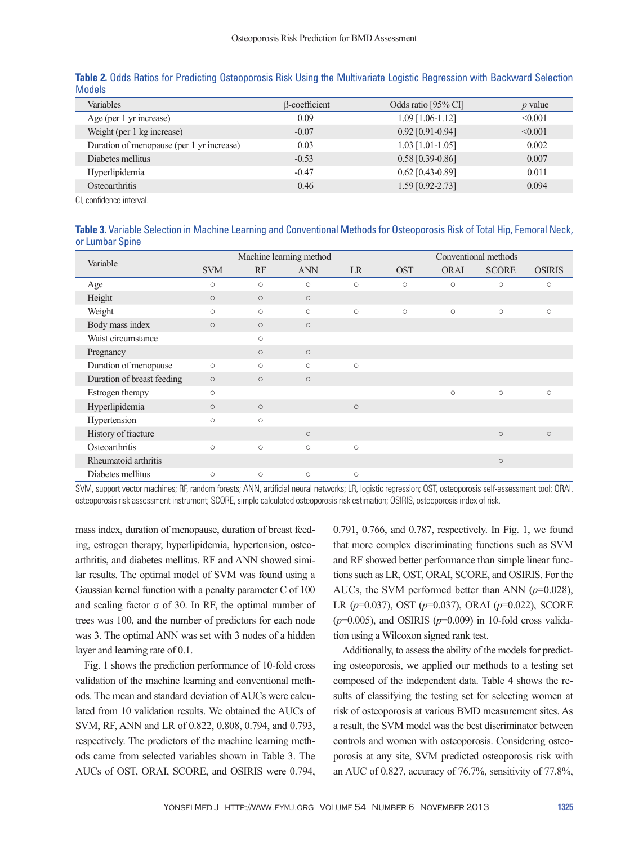| <b>Variables</b>                          | <b>B</b> -coefficient | Odds ratio [95% CI] | $p$ value |
|-------------------------------------------|-----------------------|---------------------|-----------|
| Age (per 1 yr increase)                   | 0.09                  | $1.09$ [1.06-1.12]  | < 0.001   |
| Weight (per 1 kg increase)                | $-0.07$               | $0.92$ [0.91-0.94]  | < 0.001   |
| Duration of menopause (per 1 yr increase) | 0.03                  | $1.03$ [1.01-1.05]  | 0.002     |
| Diabetes mellitus                         | $-0.53$               | $0.58$ [0.39-0.86]  | 0.007     |
| Hyperlipidemia                            | $-0.47$               | $0.62$ [0.43-0.89]  | 0.011     |
| <b>Osteoarthritis</b>                     | 0.46                  | $1.59$ [0.92-2.73]  | 0.094     |

**Table 2.** Odds Ratios for Predicting Osteoporosis Risk Using the Multivariate Logistic Regression with Backward Selection Models

CI, confidence interval.

**Table 3.** Variable Selection in Machine Learning and Conventional Methods for Osteoporosis Risk of Total Hip, Femoral Neck, or Lumbar Spine

| Variable                   | Machine learning method |         |            |           | Conventional methods |             |              |               |
|----------------------------|-------------------------|---------|------------|-----------|----------------------|-------------|--------------|---------------|
|                            | <b>SVM</b>              | RF      | <b>ANN</b> | <b>LR</b> | <b>OST</b>           | <b>ORAI</b> | <b>SCORE</b> | <b>OSIRIS</b> |
| Age                        | $\circ$                 | $\circ$ | $\circ$    | $\circ$   | $\circ$              | $\circ$     | $\circ$      | $\circ$       |
| Height                     | $\circ$                 | $\circ$ | $\circ$    |           |                      |             |              |               |
| Weight                     | $\circ$                 | $\circ$ | $\circ$    | $\circ$   | $\circ$              | $\circ$     | $\circ$      | $\circ$       |
| Body mass index            | $\circ$                 | $\circ$ | $\circ$    |           |                      |             |              |               |
| Waist circumstance         |                         | $\circ$ |            |           |                      |             |              |               |
| Pregnancy                  |                         | $\circ$ | $\circ$    |           |                      |             |              |               |
| Duration of menopause      | $\circ$                 | $\circ$ | $\circ$    | $\circ$   |                      |             |              |               |
| Duration of breast feeding | $\circ$                 | $\circ$ | $\circ$    |           |                      |             |              |               |
| Estrogen therapy           | $\circ$                 |         |            |           |                      | $\circ$     | $\circ$      | $\circ$       |
| Hyperlipidemia             | $\circ$                 | $\circ$ |            | $\circ$   |                      |             |              |               |
| Hypertension               | $\circ$                 | $\circ$ |            |           |                      |             |              |               |
| History of fracture        |                         |         | $\circ$    |           |                      |             | $\circ$      | $\circ$       |
| Osteoarthritis             | $\circ$                 | $\circ$ | $\circ$    | $\circ$   |                      |             |              |               |
| Rheumatoid arthritis       |                         |         |            |           |                      |             | $\circ$      |               |
| Diabetes mellitus          | $\circ$                 | $\circ$ | $\circ$    | $\circ$   |                      |             |              |               |

SVM, support vector machines; RF, random forests; ANN, artificial neural networks; LR, logistic regression; OST, osteoporosis self-assessment tool; ORAI, osteoporosis risk assessment instrument; SCORE, simple calculated osteoporosis risk estimation; OSIRIS, osteoporosis index of risk.

mass index, duration of menopause, duration of breast feeding, estrogen therapy, hyperlipidemia, hypertension, osteoarthritis, and diabetes mellitus. RF and ANN showed similar results. The optimal model of SVM was found using a Gaussian kernel function with a penalty parameter C of 100 and scaling factor  $\sigma$  of 30. In RF, the optimal number of trees was 100, and the number of predictors for each node was 3. The optimal ANN was set with 3 nodes of a hidden layer and learning rate of 0.1.

Fig. 1 shows the prediction performance of 10-fold cross validation of the machine learning and conventional methods. The mean and standard deviation of AUCs were calculated from 10 validation results. We obtained the AUCs of SVM, RF, ANN and LR of 0.822, 0.808, 0.794, and 0.793, respectively. The predictors of the machine learning methods came from selected variables shown in Table 3. The AUCs of OST, ORAI, SCORE, and OSIRIS were 0.794, 0.791, 0.766, and 0.787, respectively. In Fig. 1, we found that more complex discriminating functions such as SVM and RF showed better performance than simple linear functions such as LR, OST, ORAI, SCORE, and OSIRIS. For the AUCs, the SVM performed better than ANN (*p*=0.028), LR (*p*=0.037), OST (*p*=0.037), ORAI (*p*=0.022), SCORE (*p*=0.005), and OSIRIS (*p*=0.009) in 10-fold cross validation using a Wilcoxon signed rank test.

Additionally, to assess the ability of the models for predicting osteoporosis, we applied our methods to a testing set composed of the independent data. Table 4 shows the results of classifying the testing set for selecting women at risk of osteoporosis at various BMD measurement sites. As a result, the SVM model was the best discriminator between controls and women with osteoporosis. Considering osteoporosis at any site, SVM predicted osteoporosis risk with an AUC of 0.827, accuracy of 76.7%, sensitivity of 77.8%,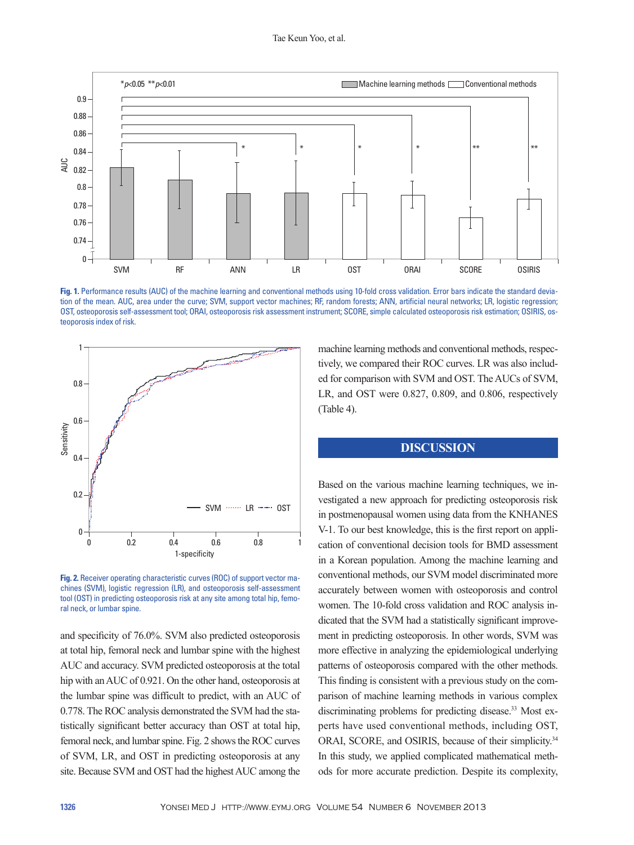

**Fig. 1.** Performance results (AUC) of the machine learning and conventional methods using 10-fold cross validation. Error bars indicate the standard deviation of the mean. AUC, area under the curve; SVM, support vector machines; RF, random forests; ANN, artificial neural networks; LR, logistic regression; OST, osteoporosis self-assessment tool; ORAI, osteoporosis risk assessment instrument; SCORE, simple calculated osteoporosis risk estimation; OSIRIS, osteoporosis index of risk.



**Fig. 2.** Receiver operating characteristic curves (ROC) of support vector machines (SVM), logistic regression (LR), and osteoporosis self-assessment tool (OST) in predicting osteoporosis risk at any site among total hip, femoral neck, or lumbar spine.

and specificity of 76.0%. SVM also predicted osteoporosis at total hip, femoral neck and lumbar spine with the highest AUC and accuracy. SVM predicted osteoporosis at the total hip with an AUC of 0.921. On the other hand, osteoporosis at the lumbar spine was difficult to predict, with an AUC of 0.778. The ROC analysis demonstrated the SVM had the statistically significant better accuracy than OST at total hip, femoral neck, and lumbar spine. Fig. 2 shows the ROC curves of SVM, LR, and OST in predicting osteoporosis at any site. Because SVM and OST had the highest AUC among the

machine learning methods and conventional methods, respectively, we compared their ROC curves. LR was also included for comparison with SVM and OST. The AUCs of SVM, LR, and OST were 0.827, 0.809, and 0.806, respectively (Table 4).

### **DISCUSSION**

Based on the various machine learning techniques, we investigated a new approach for predicting osteoporosis risk in postmenopausal women using data from the KNHANES V-1. To our best knowledge, this is the first report on application of conventional decision tools for BMD assessment in a Korean population. Among the machine learning and conventional methods, our SVM model discriminated more accurately between women with osteoporosis and control women. The 10-fold cross validation and ROC analysis indicated that the SVM had a statistically significant improvement in predicting osteoporosis. In other words, SVM was more effective in analyzing the epidemiological underlying patterns of osteoporosis compared with the other methods. This finding is consistent with a previous study on the comparison of machine learning methods in various complex discriminating problems for predicting disease.<sup>33</sup> Most experts have used conventional methods, including OST, ORAI, SCORE, and OSIRIS, because of their simplicity.<sup>34</sup> In this study, we applied complicated mathematical methods for more accurate prediction. Despite its complexity,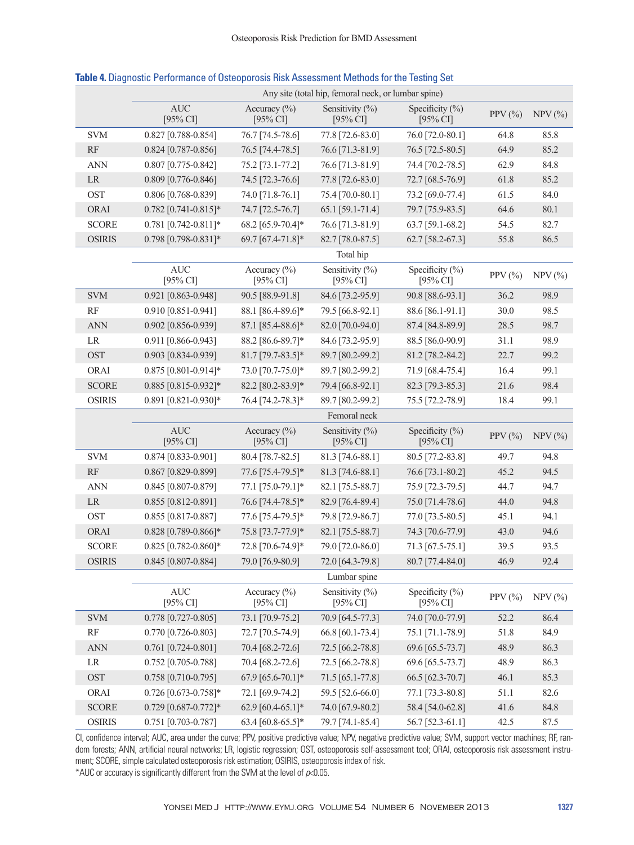|                            | Any site (total hip, femoral neck, or lumbar spine) |                                 |                                   |                                    |              |              |  |  |
|----------------------------|-----------------------------------------------------|---------------------------------|-----------------------------------|------------------------------------|--------------|--------------|--|--|
|                            | $\mbox{AUC}$<br>[95% CI]                            | Accuracy $(\% )$<br>[95% CI]    | Sensitivity $(\%)$<br>$[95\%$ CI] | Specificity $(\% )$<br>$[95\%$ CI  | $PPV$ $(\%)$ | $NPV$ $(\%)$ |  |  |
| <b>SVM</b>                 | 0.827 [0.788-0.854]                                 | 76.7 [74.5-78.6]                | 77.8 [72.6-83.0]                  | 76.0 [72.0-80.1]                   | 64.8         | 85.8         |  |  |
| $\mathbf{RF}$              | 0.824 [0.787-0.856]                                 | 76.5 [74.4-78.5]                | 76.6 [71.3-81.9]                  | 76.5 [72.5-80.5]                   | 64.9         | 85.2         |  |  |
| <b>ANN</b>                 | 0.807 [0.775-0.842]                                 | 75.2 [73.1-77.2]                | 76.6 [71.3-81.9]                  | 74.4 [70.2-78.5]                   | 62.9         | 84.8         |  |  |
| $\mathop{\rm LR}\nolimits$ | 0.809 [0.776-0.846]                                 | 74.5 [72.3-76.6]                | 77.8 [72.6-83.0]                  | 72.7 [68.5-76.9]                   | 61.8         | 85.2         |  |  |
| <b>OST</b>                 | 0.806 [0.768-0.839]                                 | 74.0 [71.8-76.1]                | 75.4 [70.0-80.1]                  | 73.2 [69.0-77.4]                   | 61.5         | 84.0         |  |  |
| ORAI                       | 0.782 [0.741-0.815]*                                | 74.7 [72.5-76.7]                | 65.1 [59.1-71.4]                  | 79.7 [75.9-83.5]                   | 64.6         | $80.1\,$     |  |  |
| <b>SCORE</b>               | 0.781 [0.742-0.811]*                                | 68.2 [65.9-70.4]*               | 76.6 [71.3-81.9]                  | 63.7 [59.1-68.2]                   | 54.5         | 82.7         |  |  |
| <b>OSIRIS</b>              | 0.798 [0.798-0.831]*                                | 69.7 [67.4-71.8]*               | 82.7 [78.0-87.5]                  | 62.7 [58.2-67.3]                   | 55.8         | 86.5         |  |  |
|                            |                                                     |                                 | Total hip                         |                                    |              |              |  |  |
|                            | <b>AUC</b><br>[95% CI]                              | Accuracy $(\% )$<br>$[95\%$ CI] | Sensitivity (%)<br>$[95\%$ CI]    | Specificity $(\% )$<br>$[95\%$ CI] | $PPV$ $(\%)$ | $NPV$ $(\%)$ |  |  |
| <b>SVM</b>                 | 0.921 [0.863-0.948]                                 | 90.5 [88.9-91.8]                | 84.6 [73.2-95.9]                  | 90.8 [88.6-93.1]                   | 36.2         | 98.9         |  |  |
| RF                         | 0.910 [0.851-0.941]                                 | 88.1 [86.4-89.6]*               | 79.5 [66.8-92.1]                  | 88.6 [86.1-91.1]                   | 30.0         | 98.5         |  |  |
| <b>ANN</b>                 | 0.902 [0.856-0.939]                                 | 87.1 [85.4-88.6]*               | 82.0 [70.0-94.0]                  | 87.4 [84.8-89.9]                   | 28.5         | 98.7         |  |  |
| $\rm LR$                   | 0.911 [0.866-0.943]                                 | 88.2 [86.6-89.7]*               | 84.6 [73.2-95.9]                  | 88.5 [86.0-90.9]                   | 31.1         | 98.9         |  |  |
| <b>OST</b>                 | 0.903 [0.834-0.939]                                 | 81.7 [79.7-83.5]*               | 89.7 [80.2-99.2]                  | 81.2 [78.2-84.2]                   | 22.7         | 99.2         |  |  |
| ORAI                       | 0.875 [0.801-0.914]*                                | 73.0 [70.7-75.0]*               | 89.7 [80.2-99.2]                  | 71.9 [68.4-75.4]                   | 16.4         | 99.1         |  |  |
| <b>SCORE</b>               | 0.885 [0.815-0.932]*                                | 82.2 [80.2-83.9]*               | 79.4 [66.8-92.1]                  | 82.3 [79.3-85.3]                   | 21.6         | 98.4         |  |  |
| <b>OSIRIS</b>              | 0.891 [0.821-0.930]*                                | 76.4 [74.2-78.3]*               | 89.7 [80.2-99.2]                  | 75.5 [72.2-78.9]                   | 18.4         | 99.1         |  |  |
|                            | Femoral neck                                        |                                 |                                   |                                    |              |              |  |  |
|                            | <b>AUC</b><br>$[95\%$ CI]                           | Accuracy $(\% )$<br>$[95\%$ CI] | Sensitivity (%)<br>$[95\%$ CI]    | Specificity $(\% )$<br>$[95\%$ CI] | $PPV$ $(\%)$ | $NPV$ $(\%)$ |  |  |
| <b>SVM</b>                 | 0.874 [0.833-0.901]                                 | 80.4 [78.7-82.5]                | 81.3 [74.6-88.1]                  | 80.5 [77.2-83.8]                   | 49.7         | 94.8         |  |  |
| RF                         | 0.867 [0.829-0.899]                                 | 77.6 [75.4-79.5]*               | 81.3 [74.6-88.1]                  | 76.6 [73.1-80.2]                   | 45.2         | 94.5         |  |  |
| <b>ANN</b>                 | 0.845 [0.807-0.879]                                 | 77.1 [75.0-79.1]*               | 82.1 [75.5-88.7]                  | 75.9 [72.3-79.5]                   | 44.7         | 94.7         |  |  |
| $\mathop{\rm LR}\nolimits$ | 0.855 [0.812-0.891]                                 | 76.6 [74.4-78.5]*               | 82.9 [76.4-89.4]                  | 75.0 [71.4-78.6]                   | 44.0         | 94.8         |  |  |
| <b>OST</b>                 | 0.855 [0.817-0.887]                                 | 77.6 [75.4-79.5]*               | 79.8 [72.9-86.7]                  | 77.0 [73.5-80.5]                   | 45.1         | 94.1         |  |  |
| ORAI                       | 0.828 [0.789-0.866]*                                | 75.8 [73.7-77.9]*               | 82.1 [75.5-88.7]                  | 74.3 [70.6-77.9]                   | 43.0         | 94.6         |  |  |
| <b>SCORE</b>               | 0.825 [0.782-0.860]*                                | 72.8 [70.6-74.9]*               | 79.0 [72.0-86.0]                  | 71.3 [67.5-75.1]                   | 39.5         | 93.5         |  |  |
| <b>OSIRIS</b>              | 0.845 [0.807-0.884]                                 | 79.0 [76.9-80.9]                | 72.0 [64.3-79.8]                  | 80.7 [77.4-84.0]                   | 46.9         | 92.4         |  |  |
|                            |                                                     |                                 | Lumbar spine                      |                                    |              |              |  |  |
|                            | <b>AUC</b><br>[95% CI]                              | Accuracy $(\% )$<br>$[95\%$ CI] | Sensitivity $(\%)$<br>[95% CI]    | Specificity $(\% )$<br>$[95\%$ CI] | $PPV$ $(\%)$ | $NPV$ $(\%)$ |  |  |
| <b>SVM</b>                 | 0.778 [0.727-0.805]                                 | 73.1 [70.9-75.2]                | 70.9 [64.5-77.3]                  | 74.0 [70.0-77.9]                   | 52.2         | 86.4         |  |  |
| $\mathbf{RF}$              | 0.770 [0.726-0.803]                                 | 72.7 [70.5-74.9]                | 66.8 [60.1-73.4]                  | 75.1 [71.1-78.9]                   | 51.8         | 84.9         |  |  |
| <b>ANN</b>                 | 0.761 [0.724-0.801]                                 | 70.4 [68.2-72.6]                | 72.5 [66.2-78.8]                  | 69.6 [65.5-73.7]                   | 48.9         | 86.3         |  |  |
| LR                         | 0.752 [0.705-0.788]                                 | 70.4 [68.2-72.6]                | 72.5 [66.2-78.8]                  | 69.6 [65.5-73.7]                   | 48.9         | 86.3         |  |  |
| <b>OST</b>                 | 0.758 [0.710-0.795]                                 | 67.9 [65.6-70.1]*               | 71.5 [65.1-77.8]                  | 66.5 [62.3-70.7]                   | 46.1         | 85.3         |  |  |
| ORAI                       | 0.726 [0.673-0.758]*                                | 72.1 [69.9-74.2]                | 59.5 [52.6-66.0]                  | 77.1 [73.3-80.8]                   | 51.1         | 82.6         |  |  |
| <b>SCORE</b>               | 0.729 [0.687-0.772]*                                | 62.9 [60.4-65.1]*               | 74.0 [67.9-80.2]                  | 58.4 [54.0-62.8]                   | 41.6         | 84.8         |  |  |
| OSIRIS                     | 0.751 [0.703-0.787]                                 | 63.4 [60.8-65.5]*               | 79.7 [74.1-85.4]                  | 56.7 [52.3-61.1]                   | 42.5         | 87.5         |  |  |

| Table 4. Diagnostic Performance of Osteoporosis Risk Assessment Methods for the Testing Set |  |  |
|---------------------------------------------------------------------------------------------|--|--|
|---------------------------------------------------------------------------------------------|--|--|

CI, confidence interval; AUC, area under the curve; PPV, positive predictive value; NPV, negative predictive value; SVM, support vector machines; RF, random forests; ANN, artificial neural networks; LR, logistic regression; OST, osteoporosis self-assessment tool; ORAI, osteoporosis risk assessment instrument; SCORE, simple calculated osteoporosis risk estimation; OSIRIS, osteoporosis index of risk.

\*AUC or accuracy is significantly different from the SVM at the level of *p*<0.05.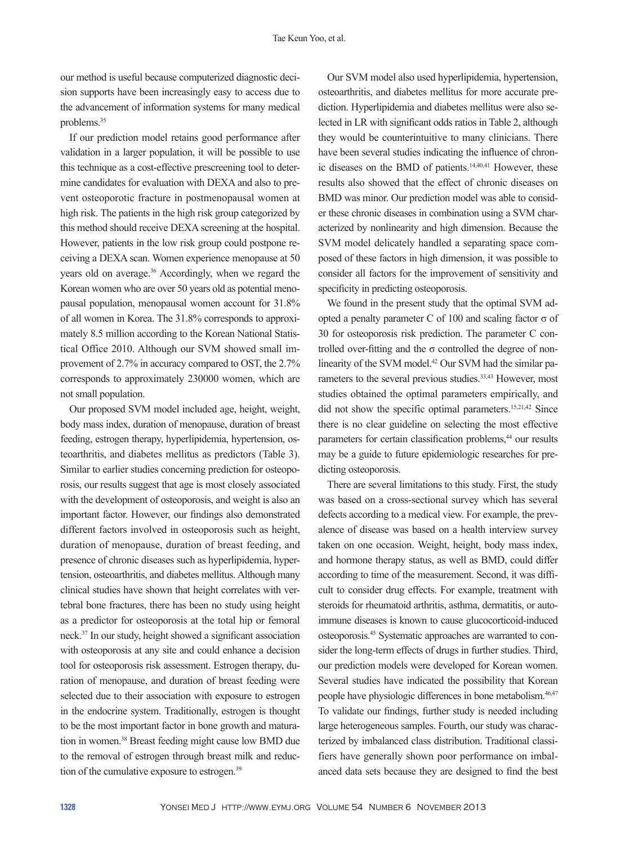our method is useful because computerized diagnostic decision supports have been increasingly easy to access due to the advancement of information systems for many medical problems.35

If our prediction model retains good performance after validation in a larger population, it will be possible to use this technique as a cost-effective prescreening tool to determine candidates for evaluation with DEXA and also to prevent osteoporotic fracture in postmenopausal women at high risk. The patients in the high risk group categorized by this method should receive DEXA screening at the hospital. However, patients in the low risk group could postpone receiving a DEXA scan. Women experience menopause at 50 years old on average.<sup>36</sup> Accordingly, when we regard the Korean women who are over 50 years old as potential menopausal population, menopausal women account for 31.8% of all women in Korea. The 31.8% corresponds to approximately 8.5 million according to the Korean National Statistical Office 2010. Although our SVM showed small improvement of 2.7% in accuracy compared to OST, the 2.7% corresponds to approximately 230000 women, which are not small population.

Our proposed SVM model included age, height, weight, body mass index, duration of menopause, duration of breast feeding, estrogen therapy, hyperlipidemia, hypertension, osteoarthritis, and diabetes mellitus as predictors (Table 3). Similar to earlier studies concerning prediction for osteoporosis, our results suggest that age is most closely associated with the development of osteoporosis, and weight is also an important factor. However, our findings also demonstrated different factors involved in osteoporosis such as height, duration of menopause, duration of breast feeding, and presence of chronic diseases such as hyperlipidemia, hypertension, osteoarthritis, and diabetes mellitus. Although many clinical studies have shown that height correlates with vertebral bone fractures, there has been no study using height as a predictor for osteoporosis at the total hip or femoral neck.37 In our study, height showed a significant association with osteoporosis at any site and could enhance a decision tool for osteoporosis risk assessment. Estrogen therapy, duration of menopause, and duration of breast feeding were selected due to their association with exposure to estrogen in the endocrine system. Traditionally, estrogen is thought to be the most important factor in bone growth and maturation in women.38 Breast feeding might cause low BMD due to the removal of estrogen through breast milk and reduction of the cumulative exposure to estrogen.39

Our SVM model also used hyperlipidemia, hypertension, osteoarthritis, and diabetes mellitus for more accurate prediction. Hyperlipidemia and diabetes mellitus were also selected in LR with significant odds ratios in Table 2, although they would be counterintuitive to many clinicians. There have been several studies indicating the influence of chronic diseases on the BMD of patients.<sup>14,40,41</sup> However, these results also showed that the effect of chronic diseases on BMD was minor. Our prediction model was able to consider these chronic diseases in combination using a SVM characterized by nonlinearity and high dimension. Because the SVM model delicately handled a separating space composed of these factors in high dimension, it was possible to consider all factors for the improvement of sensitivity and specificity in predicting osteoporosis.

We found in the present study that the optimal SVM adopted a penalty parameter C of 100 and scaling factor  $\sigma$  of 30 for osteoporosis risk prediction. The parameter C controlled over-fitting and the  $\sigma$  controlled the degree of nonlinearity of the SVM model.<sup>42</sup> Our SVM had the similar parameters to the several previous studies.<sup>33,43</sup> However, most studies obtained the optimal parameters empirically, and did not show the specific optimal parameters.<sup>15,21,42</sup> Since there is no clear guideline on selecting the most effective parameters for certain classification problems,<sup>44</sup> our results may be a guide to future epidemiologic researches for predicting osteoporosis.

There are several limitations to this study. First, the study was based on a cross-sectional survey which has several defects according to a medical view. For example, the prevalence of disease was based on a health interview survey taken on one occasion. Weight, height, body mass index, and hormone therapy status, as well as BMD, could differ according to time of the measurement. Second, it was difficult to consider drug effects. For example, treatment with steroids for rheumatoid arthritis, asthma, dermatitis, or autoimmune diseases is known to cause glucocorticoid-induced osteoporosis.45 Systematic approaches are warranted to consider the long-term effects of drugs in further studies. Third, our prediction models were developed for Korean women. Several studies have indicated the possibility that Korean people have physiologic differences in bone metabolism.46,47 To validate our findings, further study is needed including large heterogeneous samples. Fourth, our study was characterized by imbalanced class distribution. Traditional classifiers have generally shown poor performance on imbalanced data sets because they are designed to find the best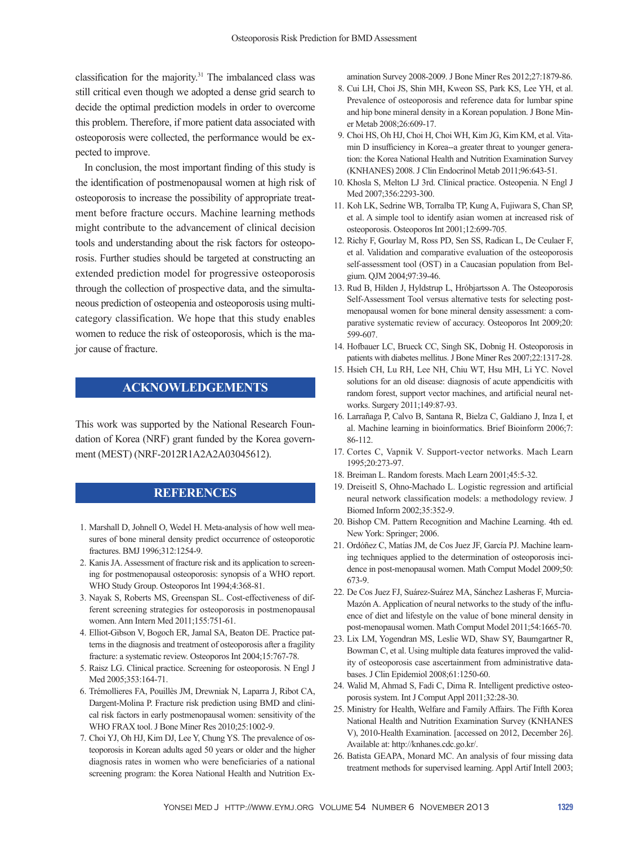classification for the majority.31 The imbalanced class was still critical even though we adopted a dense grid search to decide the optimal prediction models in order to overcome this problem. Therefore, if more patient data associated with osteoporosis were collected, the performance would be expected to improve.

In conclusion, the most important finding of this study is the identification of postmenopausal women at high risk of osteoporosis to increase the possibility of appropriate treatment before fracture occurs. Machine learning methods might contribute to the advancement of clinical decision tools and understanding about the risk factors for osteoporosis. Further studies should be targeted at constructing an extended prediction model for progressive osteoporosis through the collection of prospective data, and the simultaneous prediction of osteopenia and osteoporosis using multicategory classification. We hope that this study enables women to reduce the risk of osteoporosis, which is the major cause of fracture.

## **ACKNOWLEDGEMENTS**

This work was supported by the National Research Foundation of Korea (NRF) grant funded by the Korea government (MEST) (NRF-2012R1A2A2A03045612).

## **REFERENCES**

- 1. Marshall D, Johnell O, Wedel H. Meta-analysis of how well measures of bone mineral density predict occurrence of osteoporotic fractures. BMJ 1996;312:1254-9.
- 2. Kanis JA. Assessment of fracture risk and its application to screening for postmenopausal osteoporosis: synopsis of a WHO report. WHO Study Group. Osteoporos Int 1994;4:368-81.
- 3. Nayak S, Roberts MS, Greenspan SL. Cost-effectiveness of different screening strategies for osteoporosis in postmenopausal women. Ann Intern Med 2011;155:751-61.
- 4. Elliot-Gibson V, Bogoch ER, Jamal SA, Beaton DE. Practice patterns in the diagnosis and treatment of osteoporosis after a fragility fracture: a systematic review. Osteoporos Int 2004;15:767-78.
- 5. Raisz LG. Clinical practice. Screening for osteoporosis. N Engl J Med 2005;353:164-71.
- 6. Trémollieres FA, Pouillès JM, Drewniak N, Laparra J, Ribot CA, Dargent-Molina P. Fracture risk prediction using BMD and clinical risk factors in early postmenopausal women: sensitivity of the WHO FRAX tool. J Bone Miner Res 2010;25:1002-9.
- 7. Choi YJ, Oh HJ, Kim DJ, Lee Y, Chung YS. The prevalence of osteoporosis in Korean adults aged 50 years or older and the higher diagnosis rates in women who were beneficiaries of a national screening program: the Korea National Health and Nutrition Ex-

amination Survey 2008-2009. J Bone Miner Res 2012;27:1879-86.

- 8. Cui LH, Choi JS, Shin MH, Kweon SS, Park KS, Lee YH, et al. Prevalence of osteoporosis and reference data for lumbar spine and hip bone mineral density in a Korean population. J Bone Miner Metab 2008;26:609-17.
- 9. Choi HS, Oh HJ, Choi H, Choi WH, Kim JG, Kim KM, et al. Vitamin D insufficiency in Korea--a greater threat to younger generation: the Korea National Health and Nutrition Examination Survey (KNHANES) 2008. J Clin Endocrinol Metab 2011;96:643-51.
- 10. Khosla S, Melton LJ 3rd. Clinical practice. Osteopenia. N Engl J Med 2007;356:2293-300.
- 11. Koh LK, Sedrine WB, Torralba TP, Kung A, Fujiwara S, Chan SP, et al. A simple tool to identify asian women at increased risk of osteoporosis. Osteoporos Int 2001;12:699-705.
- 12. Richy F, Gourlay M, Ross PD, Sen SS, Radican L, De Ceulaer F, et al. Validation and comparative evaluation of the osteoporosis self-assessment tool (OST) in a Caucasian population from Belgium. QJM 2004;97:39-46.
- 13. Rud B, Hilden J, Hyldstrup L, Hróbjartsson A. The Osteoporosis Self-Assessment Tool versus alternative tests for selecting postmenopausal women for bone mineral density assessment: a comparative systematic review of accuracy. Osteoporos Int 2009;20: 599-607.
- 14. Hofbauer LC, Brueck CC, Singh SK, Dobnig H. Osteoporosis in patients with diabetes mellitus. J Bone Miner Res 2007;22:1317-28.
- 15. Hsieh CH, Lu RH, Lee NH, Chiu WT, Hsu MH, Li YC. Novel solutions for an old disease: diagnosis of acute appendicitis with random forest, support vector machines, and artificial neural networks. Surgery 2011;149:87-93.
- 16. Larrañaga P, Calvo B, Santana R, Bielza C, Galdiano J, Inza I, et al. Machine learning in bioinformatics. Brief Bioinform 2006;7: 86-112.
- 17. Cortes C, Vapnik V. Support-vector networks. Mach Learn 1995;20:273-97.
- 18. Breiman L. Random forests. Mach Learn 2001;45:5-32.
- 19. Dreiseitl S, Ohno-Machado L. Logistic regression and artificial neural network classification models: a methodology review. J Biomed Inform 2002;35:352-9.
- 20. Bishop CM. Pattern Recognition and Machine Learning. 4th ed. New York: Springer; 2006.
- 21. Ordóñez C, Matías JM, de Cos Juez JF, García PJ. Machine learning techniques applied to the determination of osteoporosis incidence in post-menopausal women. Math Comput Model 2009;50: 673-9.
- 22. De Cos Juez FJ, Suárez-Suárez MA, Sánchez Lasheras F, Murcia-Mazón A. Application of neural networks to the study of the influence of diet and lifestyle on the value of bone mineral density in post-menopausal women. Math Comput Model 2011;54:1665-70.
- 23. Lix LM, Yogendran MS, Leslie WD, Shaw SY, Baumgartner R, Bowman C, et al. Using multiple data features improved the validity of osteoporosis case ascertainment from administrative databases. J Clin Epidemiol 2008;61:1250-60.
- 24. Walid M, Ahmad S, Fadi C, Dima R. Intelligent predictive osteoporosis system. Int J Comput Appl 2011;32:28-30.
- 25. Ministry for Health, Welfare and Family Affairs. The Fifth Korea National Health and Nutrition Examination Survey (KNHANES V), 2010-Health Examination. [accessed on 2012, December 26]. Available at: http://knhanes.cdc.go.kr/.
- 26. Batista GEAPA, Monard MC. An analysis of four missing data treatment methods for supervised learning. Appl Artif Intell 2003;